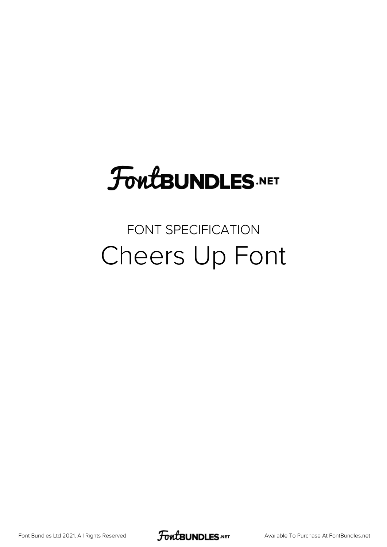# **FoutBUNDLES.NET**

#### FONT SPECIFICATION Cheers Up Font

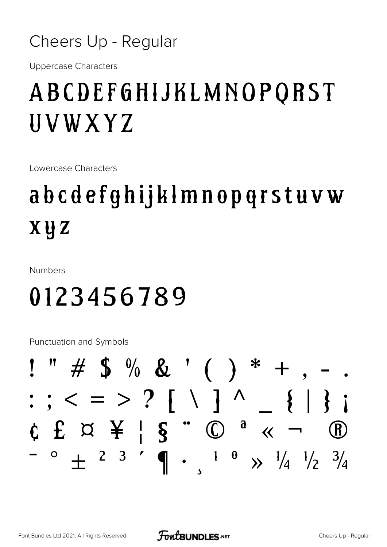

**Uppercase Characters** 

### ABCDEFGHIJKLMNOPORST *UVWXYZ*

Lowercase Characters

## abcdefghijklmnopgrstuvw **XUZ**

**Numbers** 

### 0123456789

**Punctuation and Symbols** 

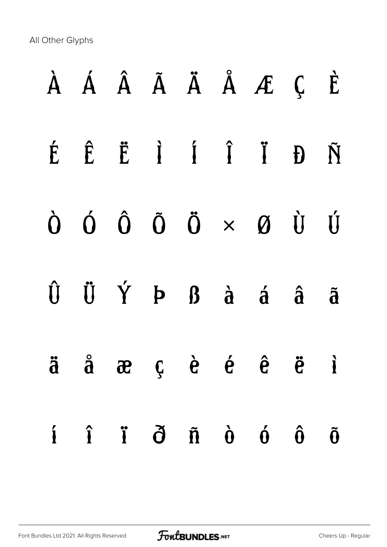All Other Glyphs

|  |  |  | À Á Â Ã Ä Å Æ Ç È                                                                                                              |                      |
|--|--|--|--------------------------------------------------------------------------------------------------------------------------------|----------------------|
|  |  |  | É Ê Ë I Í Î Ï Đ Ñ                                                                                                              |                      |
|  |  |  | $\begin{array}{ccccccccccccc}\n\dot{O} & \dot{O} & \dot{O} & \ddot{O} & \times & \mathcal{O} & \dot{U} & \dot{U}\n\end{array}$ |                      |
|  |  |  | $\hat{U}$ $\hat{U}$ $\hat{Y}$ $P$ $B$ $\hat{a}$ $\hat{a}$ $\hat{a}$ $\hat{a}$                                                  |                      |
|  |  |  | $\ddot{a}$ $\ddot{a}$ $\ddot{a}$ $\ddot{c}$ $\dot{c}$ $\ddot{c}$ $\ddot{c}$ $\ddot{d}$                                         |                      |
|  |  |  | $\hat{I}$ $\hat{I}$ $\hat{I}$ $\hat{O}$ $\hat{R}$ $\hat{O}$ $\hat{O}$ $\hat{O}$                                                | $\tilde{\mathbf{0}}$ |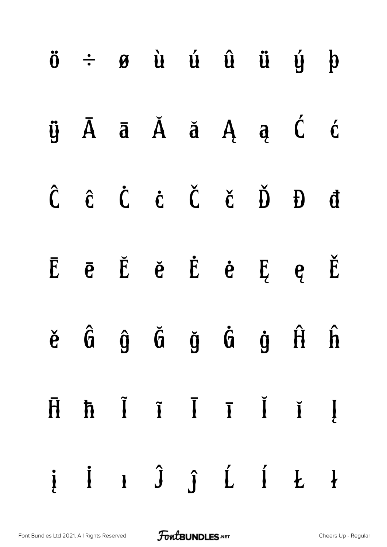|  | $\ddot{o}$ $\div$ $\theta$ $\dot{u}$ $\dot{u}$ $\dot{u}$ $\ddot{u}$ $\dot{y}$ $\dot{p}$                                             |  |  |  |
|--|-------------------------------------------------------------------------------------------------------------------------------------|--|--|--|
|  | ÿĀāĂă ĄąĆć                                                                                                                          |  |  |  |
|  | $\hat{C} \quad \hat{C} \quad \hat{C} \quad \hat{C} \quad \check{C} \quad \check{C} \quad \check{D} \quad \check{D} \quad \check{d}$ |  |  |  |
|  | $\bar{E}$ $\bar{e}$ $\bar{E}$ $\dot{e}$ $\dot{E}$ $\dot{e}$ $\bar{E}$ $e$ $\check{E}$                                               |  |  |  |
|  | ě Ĝ ĝ Ğ ğ Ġ ġ Ĥ ĥ                                                                                                                   |  |  |  |
|  | $\bar{H}$ $\bar{h}$ $\bar{I}$ $\bar{I}$ $\bar{I}$ $\bar{I}$ $\bar{I}$                                                               |  |  |  |
|  | $j$ in $j$ j $j$ if $k$ ł                                                                                                           |  |  |  |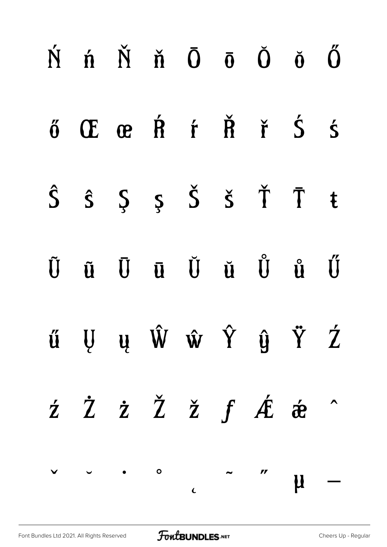| $\acute{N}$ $\acute{n}$ $\acute{N}$ $\ddot{0}$ $\ddot{0}$ $\ddot{0}$ $\ddot{0}$                                                      |  |  |  |  |
|--------------------------------------------------------------------------------------------------------------------------------------|--|--|--|--|
| ő Œ œ Ŕ ŕ Ř ř Ś ś                                                                                                                    |  |  |  |  |
| $\hat{S}$ $\hat{S}$ $\hat{S}$ $\hat{S}$ $\check{S}$ $\check{T}$ $\bar{T}$ t                                                          |  |  |  |  |
| ŨũŪū Ŭŭ Ů ů Ű                                                                                                                        |  |  |  |  |
| ű Ų ų Ŵ ŵ Ŷ ŷ Ÿ Ź                                                                                                                    |  |  |  |  |
| $\dot{z}$ $\dot{Z}$ $\dot{Z}$ $\dot{Z}$ $f$ $\dot{A}$ $\dot{\hat{\alpha}}$ $\hat{\alpha}$                                            |  |  |  |  |
| $\begin{array}{cccccccccccccc} \vee & & \circ & & & \circ & & & \circ & & \circ & & \circ & & \mathsf{M} & \mathsf{---} \end{array}$ |  |  |  |  |